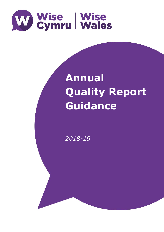

# **Annual Quality Report Guidance**

**Quality Report** 

**Guidance Construction** 

*2018-19*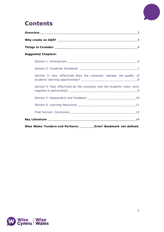

### **Contents**

|                                                                              | 3              |
|------------------------------------------------------------------------------|----------------|
|                                                                              |                |
|                                                                              | $\overline{4}$ |
| <b>Suggested Chapters:</b>                                                   |                |
|                                                                              |                |
|                                                                              |                |
| Section 3: How effectively does the university manage the quality of         |                |
| Section 4: How effectively do the university and the students' union work    |                |
|                                                                              |                |
|                                                                              |                |
|                                                                              |                |
|                                                                              |                |
| Error! Bookmark not defined.<br>Wise Wales' Funders and Partners: __________ |                |

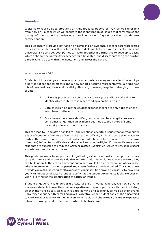

### <span id="page-2-0"></span>**Overview**

Welcome to your guide to producing an Annual Quality Report (or 'AQR' as we'll refer to it from now on), a tool which will facilitate the identification of issues that compromise the quality of the student experience, as well as areas of great practice that deserve commendation.

This guidance will provide instruction on compiling an evidence-based report representing the views of students, with which to initiate a dialogue between your students' union and university. By doing so, both parties can work together in partnership to develop solutions which enhance the university experience for all invested, and disseminate the good practice already taking place within the institution, and across the nation.

### <span id="page-2-1"></span>Why create an AQR?

Students' Unions change and evolve on an annual basis, as every new academic year brings a new set of sabbatical officers and a new cohort of course representatives; a brand new mix of personalities, ideas and creativity. This can, however, be quite challenging on three counts:

- 1. University processes can be complex to navigate and it can take time to identify which route to take when tackling a particular issue
- 2. Data collection about the student experience tends to only happen once a year; towards the end of term
- 3. Once issues have been identified, resolution can be a lengthy process sometimes longer than an academic year, due to the nature of some university administration processes

This can lead to – and often has led to – the repetition of certain issues year on year due to a lack of continuity from one officer to the next, or difficulty in finding compelling evidence early in the year. It has also proved problematic at a time of formal review (i.e. what was then the QAA Institutional Review and what will soon be the Higher Education Review) when students are expected to produce a *Student Written Submission*, which reviews the student experience over the last six years!

This guidance seeks to support you in gathering evidence annually to support your own campaign work and to provide valuable long-term information for next year's team so they can build upon it. They can either continue where you left off or compare situations to see where improvements have happened and where further action is required. This should also provide you with a powerful tool to approach your institution on an arising issue by providing you with longitudinal data - a snapshot of what the student experience looks like year on year - allowing for the identification of particular trends.

Student engagement is undergoing a cultural shift in Wales, whereby we now strive to empower students to own their unique expertise and become partners with their institution, so that they are equally able to influence learning and teaching, as well as their overall university experience. By compiling an AQR collectively, the student body will be empowered to work collaboratively with their university to mould and shape their university experience into a bespoke, powerful education of which to be truly proud.

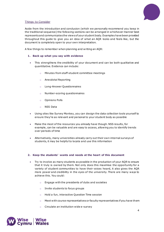

### <span id="page-3-0"></span>Things to Consider

Aside from the introduction and conclusion (which we personally recommend you keep in the traditional sequence) the following sections can be arranged in w hichever manner best represents and communicates the views of your student body. Examples have been provided throughout this guide to give you an idea of what an AQR looks and feels like, but the document is completely open to your own interpretation.

A few things to remember when planning and writing an AQR:

### **1. Back up what you say with evidence**

- This strengthens the credibility of your document and can be both qualitative and quantitative. Evidence can include:
	- o Minutes from staff-student committee meetings
	- o Anecdotal Reporting
	- o Long-Answer Questionnaires
	- o Number-scoring questionnaires
	- o Opinions Polls
	- o NSS Data
- Using sites like Survey Monkey, you can design the data collection tools yourself to ensure they're as relevant and personal to your student body as possible
- Make the most of the resources you already have though. NSS results, for example, can be valuable and are easy to access, allowing you to identify trends over periods of time
- Alternatively, many universities already carry out their own internal surveys of students, it may be helpful to locate and use this information

### **2. Keep the students' wants and needs at the heart of this document**

- Try to involve as many students as possible in the production of your AQR to ensure that it truly is owned by them. Not only does this maximise the opportunity for a variety of student communities to have their voices heard, it also gives the AQR more power and credibility in the eyes of the university. There are many ways to achieve this. You could:
	- o Engage with the presidents of clubs and societies
	- o Invite students to focus groups
	- o Hold a fun, interactive Question Time session
	- $\circ$  Meet with course representatives or faculty representatives if you have them
	- o Circulate an institution wide e-survey

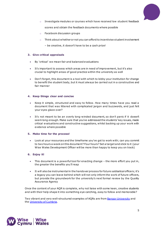

- $\circ$  Investigate modules or courses which have received low student feedback scores and obtain the feedback documents where possible
- o Facebook discussion groups
- $\circ$  Think about whether or not you can afford to incentivise student involvement
	- be creative, it doesn't have to be a cash prize!

### **3. Give critical appraisals**

- By 'critical' we mean fair and balanced evaluations
- It's important to assess which areas are in need of improvement, but it's also crucial to highlight areas of good practice within the university as well
- Don't forget, this document is a tool with which to lobby your institution for change to benefit the student body, but it must always be carried out in a constructive and fair manner

### **4. Keep things clear and concise**

- Keep it simple, structured and easy to follow . How many times have you read a document that was littered with complicated jargon and buzzwords, and just felt your eyes glaze over?
- It's not meant to be an overly long-winded document, so don't panic if it doesn't seem long enough. Make sure that you've addressed the students' key issues, made critical evaluations and constructive suggestions, whilst backing up your work with evidence where possible

### **5. Make time for the process!**

• Look at your resources and the timeframe you've got to work with; can you commit to two hours a week on this document? Four hours? Set a target and stick to it (your Wise Wales Development Officer will be more than happy to keep you on track)

### **6. Enjoy it!**

- This document is a powerful tool for enacting change the more effort you put in, the greater the benefits you'll reap
- It will also be instrumental in the handover process for future sabbatical officers; it's a legacy you can leave behind which will not only inform the work of future officers, but provide the groundwork for the university's next formal review by the Quality Assurance Agency

Once the content of your AQR is complete, why not liaise with some keen, creative students and with their help shape it into something eye-catching, easy to follow and memorable?

Two vibrant and very well-structured examples of AQRs are fro[m Bangor University](http://www.undeb.bangor.ac.uk/academic/annual%20statement%20English%202014.pdf) and the [University of Cumbria.](http://s3-eu-west-1.amazonaws.com/nusdigital/document/documents/1485/d002b1644b80017b89accb3fef7e229f/UCSU%20Annual%20Report%202011-12.pdf)

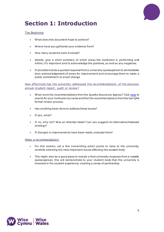

# <span id="page-5-0"></span>**Section 1: Introduction**

### The Beginning

- What does this document hope to achieve?
- Where have you gathered your evidence from?
- How many students were involved?
- Ideally, give a short summary of which areas the institution is performing well within; it's important and to acknowledge the positives, as well as any negatives.
- If possible include a quoted response from a university spokesperson to demonstrate their acknowledgement of areas for improvement and encourage them to make a public commitment to enact change

How effectively has the university addressed the recommendations of the previous annual student report, audit or review?

- What were the recommendations from the Quality Assurance Agency? Clic[k here](http://www.qaa.ac.uk/InstitutionReports/Pages/Institutions-A-Z.aspx) to search for your institution by name and find the recommendations from the last QAA formal review process.
- Has anything been done to address these issues?
- If yes, what?
- If no, why not? Was an attempt made? Can you suggest an alternative/improved strategy?
- If changes or improvements have been made, evaluate them!

### Make a recommendation!

- For this section, set a few overarching action points to raise to the university, carefully selecting the most important issues affecting the student body
- This might also be a good place to include a final university response from a notable spokesperson; this will demonstrate to your student body that the university is invested in the student experience, creating a sense of partnership.

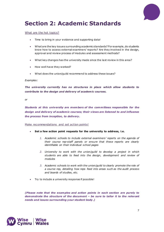

# <span id="page-6-0"></span>**Section 2: Academic Standards**

### What are the hot topics?

- Time to bring in your evidence and supporting data!
- What are the key issues surrounding academic standards? For example, do students know how to access external examiners' reports? Are they involved in the design, approval and review process of modules and assessment methods?
- What key changes has the university made since the last review in this area?
- How well have they worked?
- What does the union/guild recommend to address these issues?

### *Examples:*

*The university currently has no structures in place which allow students to contribute to the design and delivery of academ ic courses.*

#### *or*

*Students at this university are members of the comm ittees responsible for the design and delivery of academ ic courses; their v iews are listened to and influence the process from inception, to delivery .*

### Make recommendations and set action points!

- **Set a few action point requests for the university to address, i.e.**
	- *1. Academic schools to include external examiners' reports on the agenda of their course rep-staff panels or ensure that these reports are clearly identifiable on their individual school pages*
	- *2. University to work with the union/guild to develop a project in which students are able to feed into the design, development and review of modules*
	- *3. Academic schools to work with the union/guild to clearly promote the role of a course rep, detailing how reps feed into areas such as the audit process and boards of studies, etc.*
- Try to include a university response if possible!

*(Please note that the examples and action points in each section are purely to demonstrate the structure of the document – be sure to tailor it to the relevant needs and issues surrounding your student body.)*

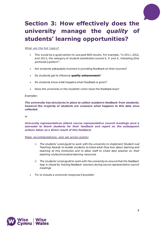

# <span id="page-7-0"></span>**Section 3: How effectively does the university manage the** *quality* **of students' learning opportunities?**

What are the hot topics?

- This would be a good section to use past NSS results. For example, "in 2011, 2012, and 2013, the category of student satisfaction scored X, X and X, indicating [this particular] pattern".
- Are students adequately involved in providing feedback on their courses?
- Do students get to influence **quality enhancement**?
- Do students know what happens when feedback is given?
- Does the university or the students' union close the feedback loop?

### *Examples:*

*The university has structures in place to collect academ ic feedback from students; however the majority of students are unaware what happens to this data once collected.*

*or*

*University representatives attend course representative council meetings once a semester to thank students for their feedback and report on the subsequent actions taken as a direct result of this feedback.*

- *1. The students' union/guild to work with the university to implement Student-Led Teaching Awards to enable students to share what they love about learning and teaching at this institution and to allow staff to share best practice on their teaching styles/innovative learning resources*
- *2. The students' union/guild to work with the university to ensure that the feedback loop is closed by hosting feedback sessions during course representative council meetings*
- Try to include a university response if possible!

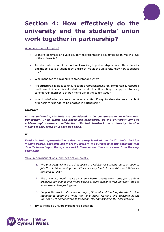

# <span id="page-8-0"></span>**Section 4: How effectively do the university and the students' union work together in partnership?**

What are the hot topics?

- Is there legitimate and valid student representation at every decision-making level of the university?
- Are students aware of the notion of working in partnership between the university and the collective student body, and if not, would the university know how to address this?
- Who manages the academic representation system?
- Are structures in place to ensure course representatives feel comfortable, respected and know their voice is valued at and student-staff meetings, as opposed to being considered tokenistic, tick-box members of the committees?
- What kind of schemes does the university offer, if any, to allow students to submit proposals for change, to be enacted in partnership?

### *Examples:*

*At this university , students are considered to be consumers in an educational transaction. Their wants and needs are considered, as the university aims to achieve high customer satisfaction. Student feedback on university decision making is requested on a post-hoc basis.*

*or*

*Valid student representation exists at every level of the institution's decision making bodies. Students are more invested in the outcomes of the decisions that directly impact upon them , and exert influence over these processes from the very beginning.*

- *1. The university will ensure that space is available for student representation to join the decision making committees at every level of the institution if this does not already exist*
- *2. The university should create a system where students are encouraged to submit proposals for change and where possible, team students with university staff to enact these changes together*
- *3. Support the students' union in arranging Student-Led Teaching Awards, to allow students to commend what they love about learning and teaching at the university, to demonstrate appreciation for, and disseminate, best practice.*
- Try to include a university response if possible!

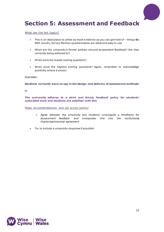

### <span id="page-9-0"></span>**Section 5: Assessment and Feedback**

### What are the hot topics?

- This is an ideal place to utilise as much evidence as you can get hold of things like NSS results, Survey Monkey questionnaires are ideal and easy to use
- What are the university's formal policies around assessment feedback? Are they currently being adhered to?
- What were the lowest scoring questions?
- What were the highest scoring questions? Again, remember to acknowledge positivity where it exists!

### *Examples:*

*Students currently have no say in the design and delivery of assessment methods.*

*or*

*The university adheres to a strict and timely feedback policy for students' subm itted work and students are satisfied with this*

- *1. Agree between the university and students' union/guild a timeframe for assessment feedback and incorporate this into the institutional charter/partnership agreement*
- Try to include a university response if possible!

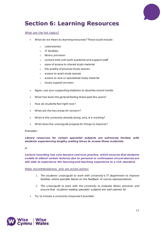

# <span id="page-10-0"></span>**Section 6: Learning Resources**

### What are the hot topics?

- What do we mean by learning resources? These could include:
	- o Laboratories
	- o IT facilities
	- o library provision
	- o contact time with both academic and support staff
	- o ease of access to shared study material
	- o the quality of physical study spaces
	- o access to quiet study spaces
	- o access to rare or specialised study material
	- o study support services
- Again, use your supporting statistics to describe recent trends
- What has been the general feeling these past few years?
- How do students feel right now?
- What are the key areas for concern?
- What is the university already doing, and, is it working?
- What does the union/guild propose for things to improve?

### *Examples:*

*Library resources for certain specialist subjects are extremely lim ited, with students experiencing lengthy waiting times to access these materials.*

#### *or*

*Lecture recording has now become common practice, which ensures that students unable to attend certain lectures due to personal or unforeseen circumstances are still able to experience the learning and teaching experience to a rich standard.*

- *1. The students' union/guild to work with university's IT department to improve facilities where possible based on the feedback of course representatives*
- *2. The union/guild to work with the university to evaluate library provision and ensure that students reading specialist subjects are well catered for*
- Try to include a university response if possible!

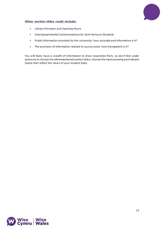

### **Other section titles could include:**

- Library Provision and Opening Hours
- Interdepartmental Communications for Joint Honours Students
- Public Information provided by the university: how accurate and informative is it?
- The provision of information related to course costs: how transparent is it?

You will likely have a wealth of information to draw inspiration from, so don't feel under pressure to choose the aforementioned section titles; choose the most pressing and relevant topics that reflect the views of your student body.

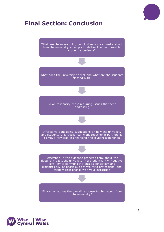

# <span id="page-12-0"></span>**Final Section: Conclusion**